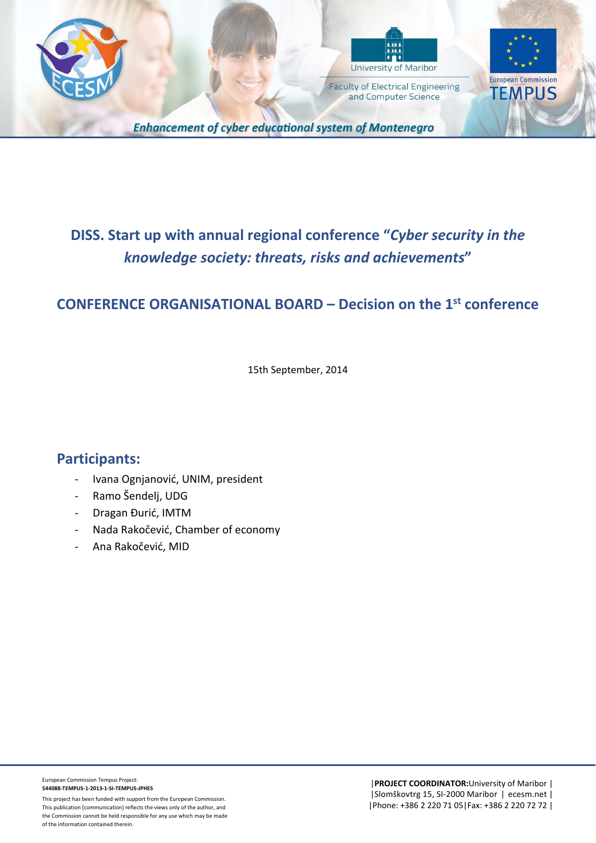



and Computer Science

**European Commission TEMPUS** 

**Enhancement of cyber educational system of Montenegro** 

## **DISS. Start up with annual regional conference "***Cyber security in the knowledge society: threats, risks and achievements***"**

## **CONFERENCE ORGANISATIONAL BOARD – Decision on the 1st conference**

15th September, 2014

## **Participants:**

- ‐ Ivana Ognjanović, UNIM, president
- ‐ Ramo Šendelj, UDG
- ‐ Dragan Đurić, IMTM
- ‐ Nada Rakočević, Chamber of economy
- ‐ Ana Rakočević, MID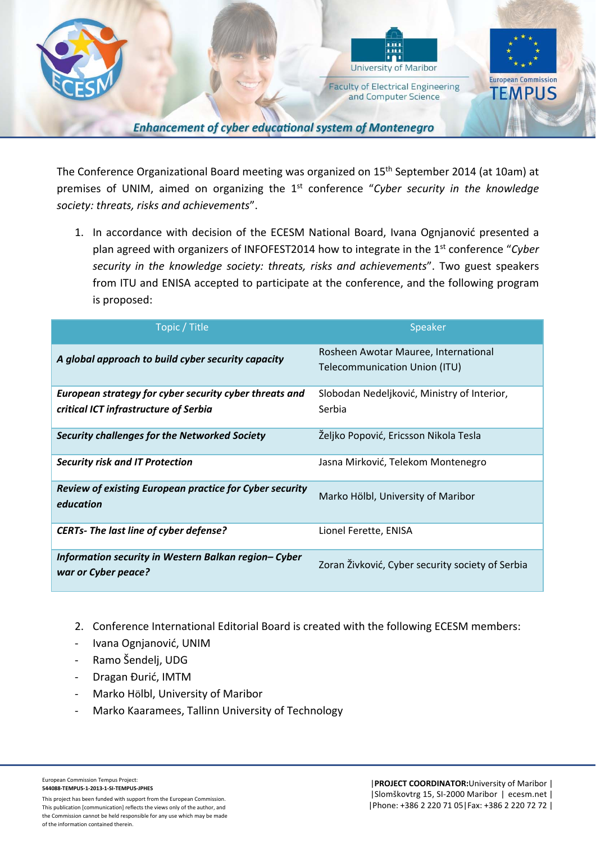

The Conference Organizational Board meeting was organized on 15<sup>th</sup> September 2014 (at 10am) at premises of UNIM, aimed on organizing the 1st conference "*Cyber security in the knowledge society: threats, risks and achievements*".

1. In accordance with decision of the ECESM National Board, Ivana Ognjanović presented a plan agreed with organizers of INFOFEST2014 how to integrate in the 1st conference "*Cyber security in the knowledge society: threats, risks and achievements*". Two guest speakers from ITU and ENISA accepted to participate at the conference, and the following program is proposed:

| Topic / Title                                                                                   | Speaker                                                               |
|-------------------------------------------------------------------------------------------------|-----------------------------------------------------------------------|
| A global approach to build cyber security capacity                                              | Rosheen Awotar Mauree, International<br>Telecommunication Union (ITU) |
| European strategy for cyber security cyber threats and<br>critical ICT infrastructure of Serbia | Slobodan Nedeljković, Ministry of Interior,<br>Serbia                 |
| <b>Security challenges for the Networked Society</b>                                            | Željko Popović, Ericsson Nikola Tesla                                 |
| <b>Security risk and IT Protection</b>                                                          | Jasna Mirković, Telekom Montenegro                                    |
| Review of existing European practice for Cyber security<br>education                            | Marko Hölbl, University of Maribor                                    |
| <b>CERTs- The last line of cyber defense?</b>                                                   | Lionel Ferette, ENISA                                                 |
| Information security in Western Balkan region- Cyber<br>war or Cyber peace?                     | Zoran Živković, Cyber security society of Serbia                      |

- 2. Conference International Editorial Board is created with the following ECESM members:
- ‐ Ivana Ognjanović, UNIM
- ‐ Ramo Šendelj, UDG
- ‐ Dragan Đurić, IMTM
- ‐ Marko Hölbl, University of Maribor
- ‐ Marko Kaaramees, Tallinn University of Technology